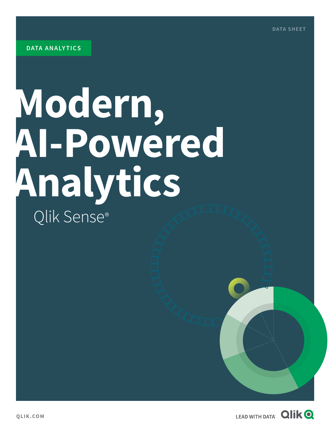# **Modern, AI-Powered Analytics** Qlik Sense®

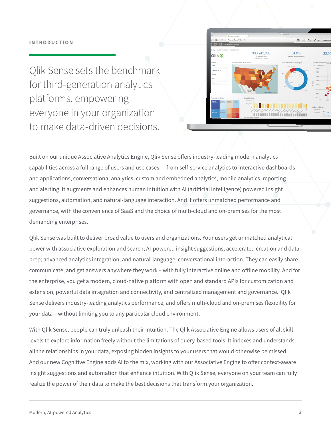Qlik Sense sets the benchmark for third-generation analytics platforms, empowering everyone in your organization to make data-driven decisions.



Built on our unique Associative Analytics Engine, Qlik Sense offers industry-leading modern analytics capabilities across a full range of users and use cases — from self-service analytics to interactive dashboards and applications, conversational analytics, custom and embedded analytics, mobile analytics, reporting and alerting. It augments and enhances human intuition with AI (artificial intelligence) powered insight suggestions, automation, and natural-language interaction. And it offers unmatched performance and governance, with the convenience of SaaS and the choice of multi-cloud and on-premises for the most demanding enterprises.

Qlik Sense was built to deliver broad value to users and organizations. Your users get unmatched analytical power with associative exploration and search; AI-powered insight suggestions; accelerated creation and data prep; advanced analytics integration; and natural-language, conversational interaction. They can easily share, communicate, and get answers anywhere they work – with fully interactive online and offline mobility. And for the enterprise, you get a modern, cloud-native platform with open and standard APIs for customization and extension, powerful data integration and connectivity, and centralized management and governance. Qlik Sense delivers industry-leading analytics performance, and offers multi-cloud and on-premises flexibility for your data – without limiting you to any particular cloud environment.

With Qlik Sense, people can truly unleash their intuition. The Qlik Associative Engine allows users of all skill levels to explore information freely without the limitations of query-based tools. It indexes and understands all the relationships in your data, exposing hidden insights to your users that would otherwise be missed. And our new Cognitive Engine adds AI to the mix, working with our Associative Engine to offer context-aware insight suggestions and automation that enhance intuition. With Qlik Sense, everyone on your team can fully realize the power of their data to make the best decisions that transform your organization.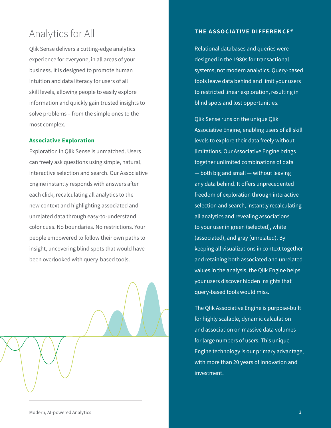## Analytics for All

Qlik Sense delivers a cutting-edge analytics experience for everyone, in all areas of your business. It is designed to promote human intuition and data literacy for users of all skill levels, allowing people to easily explore information and quickly gain trusted insights to solve problems – from the simple ones to the most complex.

#### **Associative Exploration**

Exploration in Qlik Sense is unmatched. Users can freely ask questions using simple, natural, interactive selection and search. Our Associative Engine instantly responds with answers after each click, recalculating all analytics to the new context and highlighting associated and unrelated data through easy-to-understand color cues. No boundaries. No restrictions. Your people empowered to follow their own paths to insight, uncovering blind spots that would have been overlooked with query-based tools.



#### **THE ASSOCIATIVE DIFFERENCE®**

Relational databases and queries were designed in the 1980s for transactional systems, not modern analytics. Query-based tools leave data behind and limit your users to restricted linear exploration, resulting in blind spots and lost opportunities.

Qlik Sense runs on the unique Qlik Associative Engine, enabling users of all skill levels to explore their data freely without limitations. Our Associative Engine brings together unlimited combinations of data — both big and small — without leaving any data behind. It offers unprecedented freedom of exploration through interactive selection and search, instantly recalculating all analytics and revealing associations to your user in green (selected), white (associated), and gray (unrelated). By keeping all visualizations in context together and retaining both associated and unrelated values in the analysis, the Qlik Engine helps your users discover hidden insights that query-based tools would miss.

The Qlik Associative Engine is purpose-built for highly scalable, dynamic calculation and association on massive data volumes for large numbers of users. This unique Engine technology is our primary advantage, with more than 20 years of innovation and investment.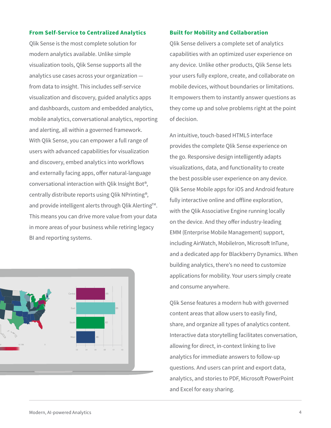#### **From Self-Service to Centralized Analytics**

Qlik Sense is the most complete solution for modern analytics available. Unlike simple visualization tools, Qlik Sense supports all the analytics use cases across your organization from data to insight. This includes self-service visualization and discovery, guided analytics apps and dashboards, custom and embedded analytics, mobile analytics, conversational analytics, reporting and alerting, all within a governed framework. With Qlik Sense, you can empower a full range of users with advanced capabilities for visualization and discovery, embed analytics into workflows and externally facing apps, offer natural-language conversational interaction with Qlik Insight Bot®, centrally distribute reports using Qlik NPrinting®, and provide intelligent alerts through Qlik Alerting™. This means you can drive more value from your data in more areas of your business while retiring legacy BI and reporting systems.



#### **Built for Mobility and Collaboration**

Qlik Sense delivers a complete set of analytics capabilities with an optimized user experience on any device. Unlike other products, Qlik Sense lets your users fully explore, create, and collaborate on mobile devices, without boundaries or limitations. It empowers them to instantly answer questions as they come up and solve problems right at the point of decision.

An intuitive, touch-based HTML5 interface provides the complete Qlik Sense experience on the go. Responsive design intelligently adapts visualizations, data, and functionality to create the best possible user experience on any device. Qlik Sense Mobile apps for iOS and Android feature fully interactive online and offline exploration, with the Qlik Associative Engine running locally on the device. And they offer industry-leading EMM (Enterprise Mobile Management) support, including AirWatch, MobileIron, Microsoft InTune, and a dedicated app for Blackberry Dynamics. When building analytics, there's no need to customize applications for mobility. Your users simply create and consume anywhere.

Qlik Sense features a modern hub with governed content areas that allow users to easily find, share, and organize all types of analytics content. Interactive data storytelling facilitates conversation, allowing for direct, in-context linking to live analytics for immediate answers to follow-up questions. And users can print and export data, analytics, and stories to PDF, Microsoft PowerPoint and Excel for easy sharing.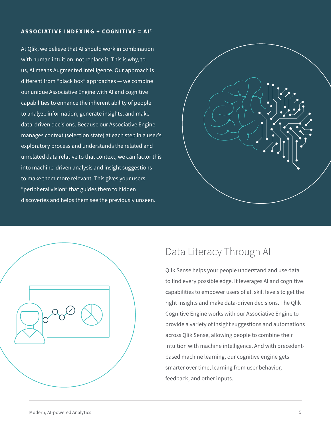#### **ASSOCIATIVE INDEXING + COGNITIVE = AI <sup>2</sup>**

At Qlik, we believe that AI should work in combination with human intuition, not replace it. This is why, to us, AI means Augmented Intelligence. Our approach is different from "black box" approaches — we combine our unique Associative Engine with AI and cognitive capabilities to enhance the inherent ability of people to analyze information, generate insights, and make data-driven decisions. Because our Associative Engine manages context (selection state) at each step in a user's exploratory process and understands the related and unrelated data relative to that context, we can factor this into machine-driven analysis and insight suggestions to make them more relevant. This gives your users "peripheral vision" that guides them to hidden discoveries and helps them see the previously unseen.





### Data Literacy Through AI

Qlik Sense helps your people understand and use data to find every possible edge. It leverages AI and cognitive capabilities to empower users of all skill levels to get the right insights and make data-driven decisions. The Qlik Cognitive Engine works with our Associative Engine to provide a variety of insight suggestions and automations across Qlik Sense, allowing people to combine their intuition with machine intelligence. And with precedentbased machine learning, our cognitive engine gets smarter over time, learning from user behavior, feedback, and other inputs.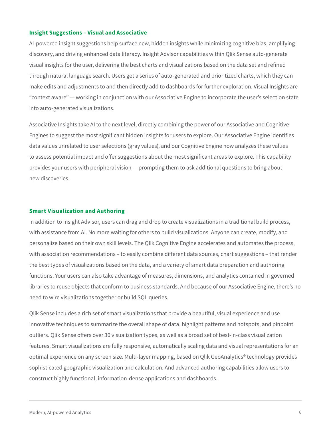#### **Insight Suggestions – Visual and Associative**

AI-powered insight suggestions help surface new, hidden insights while minimizing cognitive bias, amplifying discovery, and driving enhanced data literacy. Insight Advisor capabilities within Qlik Sense auto-generate visual insights for the user, delivering the best charts and visualizations based on the data set and refined through natural language search. Users get a series of auto-generated and prioritized charts, which they can make edits and adjustments to and then directly add to dashboards for further exploration. Visual Insights are "context aware" — working in conjunction with our Associative Engine to incorporate the user's selection state into auto-generated visualizations.

Associative Insights take AI to the next level, directly combining the power of our Associative and Cognitive Engines to suggest the most significant hidden insights for users to explore. Our Associative Engine identifies data values unrelated to user selections (gray values), and our Cognitive Engine now analyzes these values to assess potential impact and offer suggestions about the most significant areas to explore. This capability provides your users with peripheral vision — prompting them to ask additional questions to bring about new discoveries.

#### **Smart Visualization and Authoring**

In addition to Insight Advisor, users can drag and drop to create visualizations in a traditional build process, with assistance from AI. No more waiting for others to build visualizations. Anyone can create, modify, and personalize based on their own skill levels. The Qlik Cognitive Engine accelerates and automates the process, with association recommendations – to easily combine different data sources, chart suggestions – that render the best types of visualizations based on the data, and a variety of smart data preparation and authoring functions. Your users can also take advantage of measures, dimensions, and analytics contained in governed libraries to reuse objects that conform to business standards. And because of our Associative Engine, there's no need to wire visualizations together or build SQL queries.

Qlik Sense includes a rich set of smart visualizations that provide a beautiful, visual experience and use innovative techniques to summarize the overall shape of data, highlight patterns and hotspots, and pinpoint outliers. Qlik Sense offers over 30 visualization types, as well as a broad set of best-in-class visualization features. Smart visualizations are fully responsive, automatically scaling data and visual representations for an optimal experience on any screen size. Multi-layer mapping, based on Qlik GeoAnalytics® technology provides sophisticated geographic visualization and calculation. And advanced authoring capabilities allow users to construct highly functional, information-dense applications and dashboards.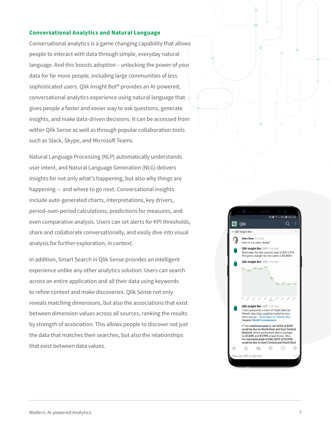#### **Conversational Analytics and Natural Language**

Conversational analytics is a game changing capability that allows people to interact with data through simple, everyday natural language. And this boosts adoption – unlocking the power of your data for far more people, including large communities of less sophisticated users. Qlik Insight Bot® provides an AI-powered, conversational analytics experience using natural language that gives people a faster and easier way to ask questions, generate insights, and make data-driven decisions. It can be accessed from within Qlik Sense as well as through popular collaboration tools such as Slack, Skype, and Microsoft Teams.

Natural Language Processing (NLP) automatically understands user intent, and Natural Language Generation (NLG) delivers insights for not only what's happening, but also why things are happening — and where to go next. Conversational insights include auto-generated charts, interpretations, key drivers, period-over-period calculations, predictions for measures, and even comparative analysis. Users can set alerts for KPI thresholds, share and collaborate conversationally, and easily dive into visual analysis for further exploration, in context.

In addition, Smart Search in Qlik Sense provides an intelligent experience unlike any other analytics solution. Users can search across an entire application and all their data using keywords to refine context and make discoveries. Qlik Sense not only reveals matching dimensions, but also the associations that exist between dimension values across all sources, ranking the results by strength of association. This allows people to discover not just the data that matches their searches, but also the relationships that exist between data values.

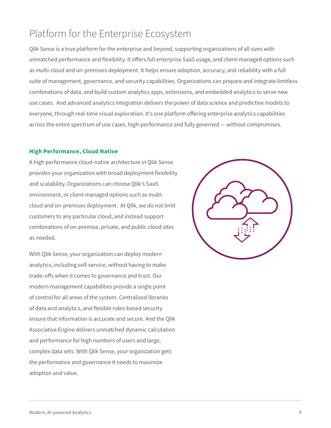## Platform for the Enterprise Ecosystem

Qlik Sense is a true platform for the enterprise and beyond, supporting organizations of all sizes with unmatched performance and flexibility. It offers full enterprise SaaS usage, and client-managed options such as multi-cloud and on-premises deployment. It helps ensure adoption, accuracy, and reliability with a full suite of management, governance, and security capabilities. Organizations can prepare and integrate limitless combinations of data, and build custom analytics apps, extensions, and embedded analytics to serve new use cases. And advanced analytics integration delivers the power of data science and predictive models to everyone, through real-time visual exploration. It's one platform offering enterprise analytics capabilities across the entire spectrum of use cases, high-performance and fully governed — without compromises.

#### **High Performance, Cloud Native**

A high performance cloud-native architecture in Qlik Sense provides your organization with broad deployment flexibility and scalability. Organizations can choose Qlik's SaaS environment, or client-managed options such as multicloud and on-premises deployment. At Qlik, we do not limit customers to any particular cloud, and instead support combinations of on-premise, private, and public cloud sites as needed.

With Qlik Sense, your organization can deploy modern analytics, including self-service, without having to make trade-offs when it comes to governance and trust. Our modern management capabilities provide a single point of control for all areas of the system. Centralized libraries of data and analytics, and flexible rules-based security ensure that information is accurate and secure. And the Qlik Associative Engine delivers unmatched dynamic calculation and performance for high numbers of users and large, complex data sets. With Qlik Sense, your organization gets the performance and governance it needs to maximize adoption and value.

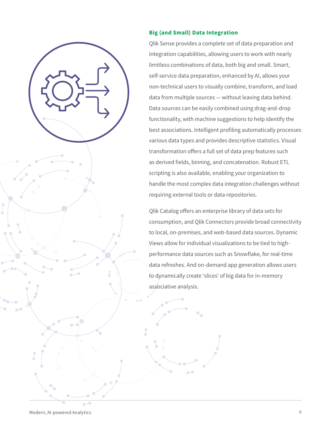

#### **Big (and Small) Data Integration**

Qlik Sense provides a complete set of data preparation and integration capabilities, allowing users to work with nearly limitless combinations of data, both big and small. Smart, self-service data preparation, enhanced by AI, allows your non-technical users to visually combine, transform, and load data from multiple sources — without leaving data behind. Data sources can be easily combined using drag-and-drop functionality, with machine suggestions to help identify the best associations. Intelligent profiling automatically processes various data types and provides descriptive statistics. Visual transformation offers a full set of data prep features such as derived fields, binning, and concatenation. Robust ETL scripting is also available, enabling your organization to handle the most complex data integration challenges without requiring external tools or data repositories.

Qlik Catalog offers an enterprise library of data sets for consumption, and Qlik Connectors provide broad connectivity to local, on-premises, and web-based data sources. Dynamic Views allow for individual visualizations to be tied to highperformance data sources such as Snowflake, for real-time data refreshes. And on-demand app generation allows users to dynamically create 'slices' of big data for in-memory associative analysis.